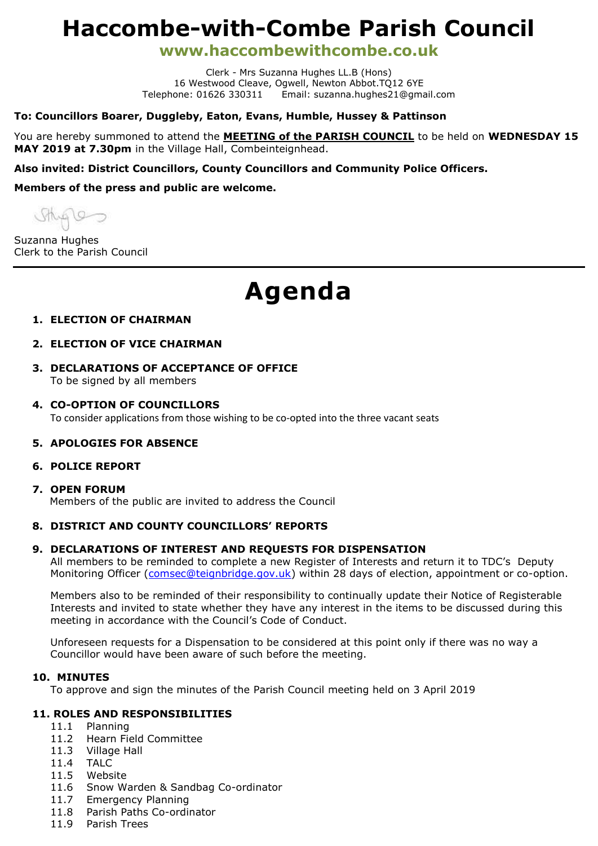# **Haccombe-with-Combe Parish Council**

**www.haccombewithcombe.co.uk**

Clerk - Mrs Suzanna Hughes LL.B (Hons) 16 Westwood Cleave, Ogwell, Newton Abbot.TO12 6YE Telephone: 01626 330311 Email: suzanna.hughes21@gmail.com

# **To: Councillors Boarer, Duggleby, Eaton, Evans, Humble, Hussey & Pattinson**

You are hereby summoned to attend the **MEETING of the PARISH COUNCIL** to be held on **WEDNESDAY 15 MAY 2019 at 7.30pm** in the Village Hall, Combeinteignhead.

# **Also invited: District Councillors, County Councillors and Community Police Officers.**

**Members of the press and public are welcome.**

MAG10

Suzanna Hughes Clerk to the Parish Council

# **Agenda**

# **1. ELECTION OF CHAIRMAN**

- **2. ELECTION OF VICE CHAIRMAN**
- **3. DECLARATIONS OF ACCEPTANCE OF OFFICE** To be signed by all members
- **4. CO-OPTION OF COUNCILLORS** To consider applications from those wishing to be co-opted into the three vacant seats

# **5. APOLOGIES FOR ABSENCE**

# **6. POLICE REPORT**

#### **7. OPEN FORUM**

Members of the public are invited to address the Council

# **8. DISTRICT AND COUNTY COUNCILLORS' REPORTS**

#### **9. DECLARATIONS OF INTEREST AND REQUESTS FOR DISPENSATION**

All members to be reminded to complete a new Register of Interests and return it to TDC's Deputy Monitoring Officer [\(comsec@teignbridge.gov.uk\)](mailto:comsec@teignbridge.gov.uk) within 28 days of election, appointment or co-option.

Members also to be reminded of their responsibility to continually update their Notice of Registerable Interests and invited to state whether they have any interest in the items to be discussed during this meeting in accordance with the Council's Code of Conduct.

Unforeseen requests for a Dispensation to be considered at this point only if there was no way a Councillor would have been aware of such before the meeting.

#### **10. MINUTES**

To approve and sign the minutes of the Parish Council meeting held on 3 April 2019

# **11. ROLES AND RESPONSIBILITIES**

- 11.1 Planning
- 11.2 Hearn Field Committee
- 11.3 Village Hall
- 11.4 TALC
- 11.5 Website
- 11.6 Snow Warden & Sandbag Co-ordinator
- 11.7 Emergency Planning
- 11.8 Parish Paths Co-ordinator
- 11.9 Parish Trees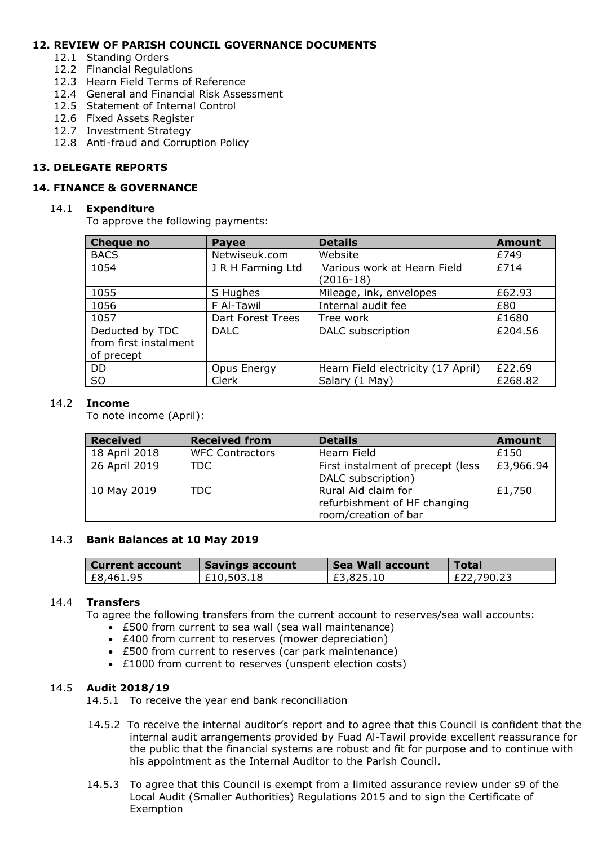# **12. REVIEW OF PARISH COUNCIL GOVERNANCE DOCUMENTS**

- 12.1 Standing Orders
- 12.2 Financial Regulations
- 12.3 Hearn Field Terms of Reference
- 12.4 General and Financial Risk Assessment
- 12.5 Statement of Internal Control
- 12.6 Fixed Assets Register
- 12.7 Investment Strategy
- 12.8 Anti-fraud and Corruption Policy

# **13. DELEGATE REPORTS**

#### **14. FINANCE & GOVERNANCE**

#### 14.1 **Expenditure**

To approve the following payments:

| <b>Cheque no</b>                                       | <b>Payee</b>      | <b>Details</b>                           | <b>Amount</b> |
|--------------------------------------------------------|-------------------|------------------------------------------|---------------|
| <b>BACS</b>                                            | Netwiseuk.com     | Website                                  | £749          |
| 1054                                                   | J R H Farming Ltd | Various work at Hearn Field<br>(2016-18) | £714          |
| 1055                                                   | S Hughes          | Mileage, ink, envelopes                  | £62.93        |
| 1056                                                   | F Al-Tawil        | Internal audit fee                       | £80           |
| 1057                                                   | Dart Forest Trees | Tree work                                | £1680         |
| Deducted by TDC<br>from first instalment<br>of precept | <b>DALC</b>       | DALC subscription                        | £204.56       |
| <b>DD</b>                                              | Opus Energy       | Hearn Field electricity (17 April)       | £22.69        |
| <b>SO</b>                                              | Clerk             | Salary (1 May)                           | £268.82       |

#### 14.2 **Income**

To note income (April):

| <b>Received</b> | <b>Received from</b>   | <b>Details</b>                    | <b>Amount</b> |
|-----------------|------------------------|-----------------------------------|---------------|
| 18 April 2018   | <b>WFC Contractors</b> | Hearn Field                       | £150          |
| 26 April 2019   | TDC.                   | First instalment of precept (less | £3,966.94     |
|                 |                        | DALC subscription)                |               |
| 10 May 2019     | TDC                    | Rural Aid claim for               | £1,750        |
|                 |                        | refurbishment of HF changing      |               |
|                 |                        | room/creation of bar              |               |

#### 14.3 **Bank Balances at 10 May 2019**

| <b>Current account</b> | <b>Savings account</b> | Sea Wall account | Total      |
|------------------------|------------------------|------------------|------------|
| £8,461.95              | £10,503.18             | £3,825.10        | £22,790.23 |

#### 14.4 **Transfers**

To agree the following transfers from the current account to reserves/sea wall accounts:

- £500 from current to sea wall (sea wall maintenance)
- £400 from current to reserves (mower depreciation)
- £500 from current to reserves (car park maintenance)
- £1000 from current to reserves (unspent election costs)

# 14.5 **Audit 2018/19**

14.5.1 To receive the year end bank reconciliation

- 14.5.2 To receive the internal auditor's report and to agree that this Council is confident that the internal audit arrangements provided by Fuad Al-Tawil provide excellent reassurance for the public that the financial systems are robust and fit for purpose and to continue with his appointment as the Internal Auditor to the Parish Council.
- 14.5.3 To agree that this Council is exempt from a limited assurance review under s9 of the Local Audit (Smaller Authorities) Regulations 2015 and to sign the Certificate of Exemption